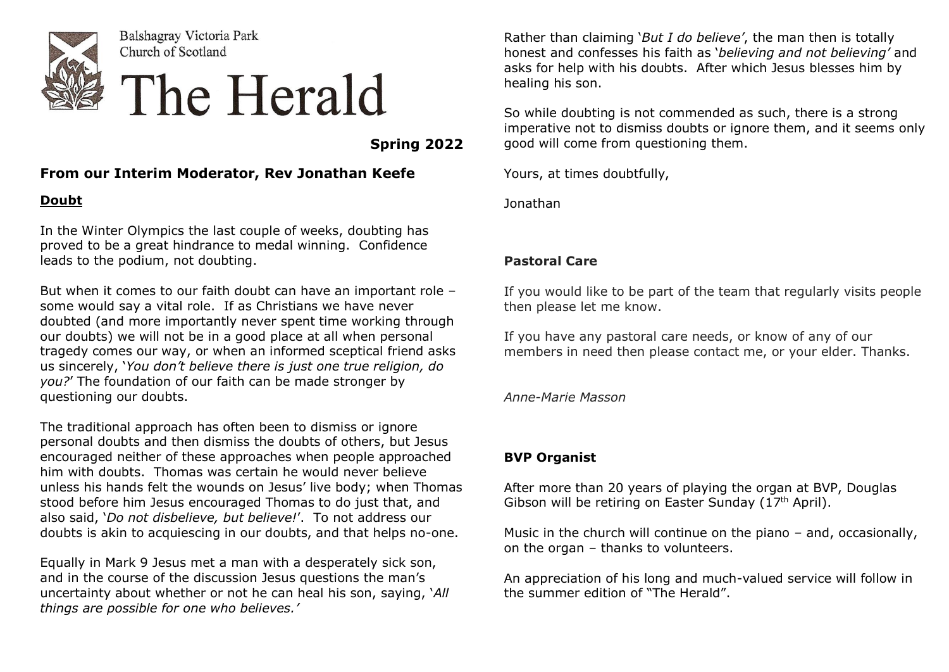

Balshagray Victoria Park Church of Scotland

# The Herald

 **Spring 2022**

#### **From our Interim Moderator, Rev Jonathan Keefe**

#### **Doubt**

In the Winter Olympics the last couple of weeks, doubting has proved to be a great hindrance to medal winning. Confidence leads to the podium, not doubting.

But when it comes to our faith doubt can have an important role – some would say a vital role. If as Christians we have never doubted (and more importantly never spent time working through our doubts) we will not be in a good place at all when personal tragedy comes our way, or when an informed sceptical friend asks us sincerely, '*You don't believe there is just one true religion, do you?*' The foundation of our faith can be made stronger by questioning our doubts.

The traditional approach has often been to dismiss or ignore personal doubts and then dismiss the doubts of others, but Jesus encouraged neither of these approaches when people approached him with doubts. Thomas was certain he would never believe unless his hands felt the wounds on Jesus' live body; when Thomas stood before him Jesus encouraged Thomas to do just that, and also said, '*Do not disbelieve, but believe!*'. To not address our doubts is akin to acquiescing in our doubts, and that helps no-one.

Equally in Mark 9 Jesus met a man with a desperately sick son, and in the course of the discussion Jesus questions the man's uncertainty about whether or not he can heal his son, saying, '*All things are possible for one who believes.'*

Rather than claiming '*But I do believe'*, the man then is totally honest and confesses his faith as '*believing and not believing'* and asks for help with his doubts. After which Jesus blesses him by healing his son.

So while doubting is not commended as such, there is a strong imperative not to dismiss doubts or ignore them, and it seems only good will come from questioning them.

Yours, at times doubtfully,

Jonathan

## **Pastoral Care**

If you would like to be part of the team that regularly visits people then please let me know.

If you have any pastoral care needs, or know of any of our members in need then please contact me, or your elder. Thanks.

*Anne-Marie Masson*

## **BVP Organist**

After more than 20 years of playing the organ at BVP, Douglas Gibson will be retiring on Easter Sunday ( $17<sup>th</sup>$  April).

Music in the church will continue on the piano – and, occasionally, on the organ – thanks to volunteers.

An appreciation of his long and much-valued service will follow in the summer edition of "The Herald".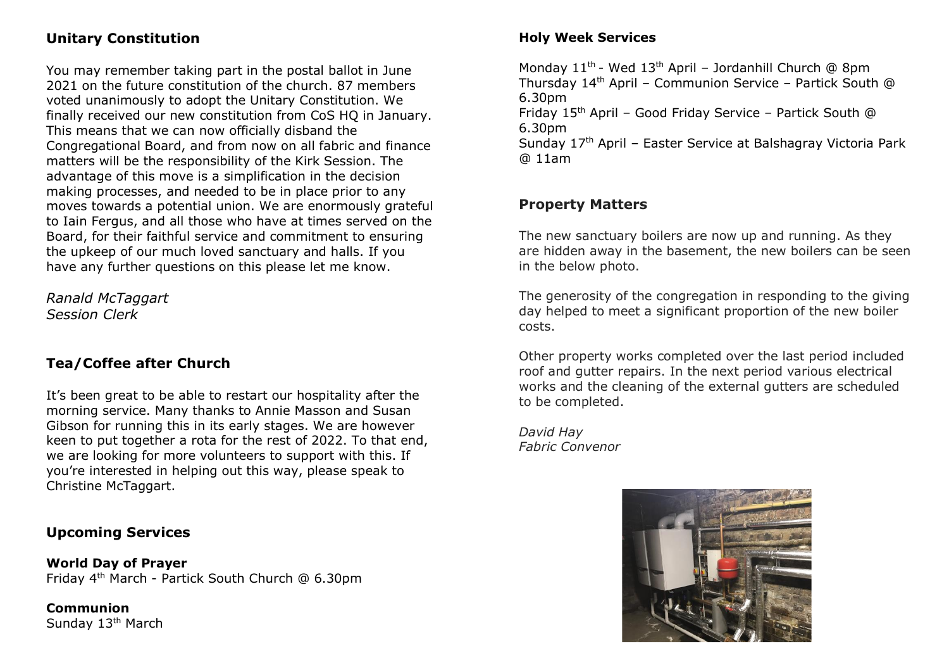# **Unitary Constitution**

You may remember taking part in the postal ballot in June 2021 on the future constitution of the church. 87 members voted unanimously to adopt the Unitary Constitution. We finally received our new constitution from CoS HQ in January. This means that we can now officially disband the Congregational Board, and from now on all fabric and finance matters will be the responsibility of the Kirk Session. The advantage of this move is a simplification in the decision making processes, and needed to be in place prior to any moves towards a potential union. We are enormously grateful to Iain Fergus, and all those who have at times served on the Board, for their faithful service and commitment to ensuring the upkeep of our much loved sanctuary and halls. If you have any further questions on this please let me know.

*Ranald McTaggart Session Clerk*

## **Tea/Coffee after Church**

It's been great to be able to restart our hospitality after the morning service. Many thanks to Annie Masson and Susan Gibson for running this in its early stages. We are however keen to put together a rota for the rest of 2022. To that end, we are looking for more volunteers to support with this. If you're interested in helping out this way, please speak to Christine McTaggart.

## **Upcoming Services**

**World Day of Prayer** Friday 4th March - Partick South Church @ 6.30pm

**Communion** Sunday 13<sup>th</sup> March

#### **Holy Week Services**

Monday 11<sup>th</sup> - Wed 13<sup>th</sup> April – Jordanhill Church @ 8pm Thursday 14th April – Communion Service – Partick South @ 6.30pm Friday 15<sup>th</sup> April – Good Friday Service – Partick South @ 6.30pm

Sunday 17th April – Easter Service at Balshagray Victoria Park @ 11am

## **Property Matters**

The new sanctuary boilers are now up and running. As they are hidden away in the basement, the new boilers can be seen in the below photo.

The generosity of the congregation in responding to the giving day helped to meet a significant proportion of the new boiler costs.

Other property works completed over the last period included roof and gutter repairs. In the next period various electrical works and the cleaning of the external gutters are scheduled to be completed.

*David Hay Fabric Convenor*

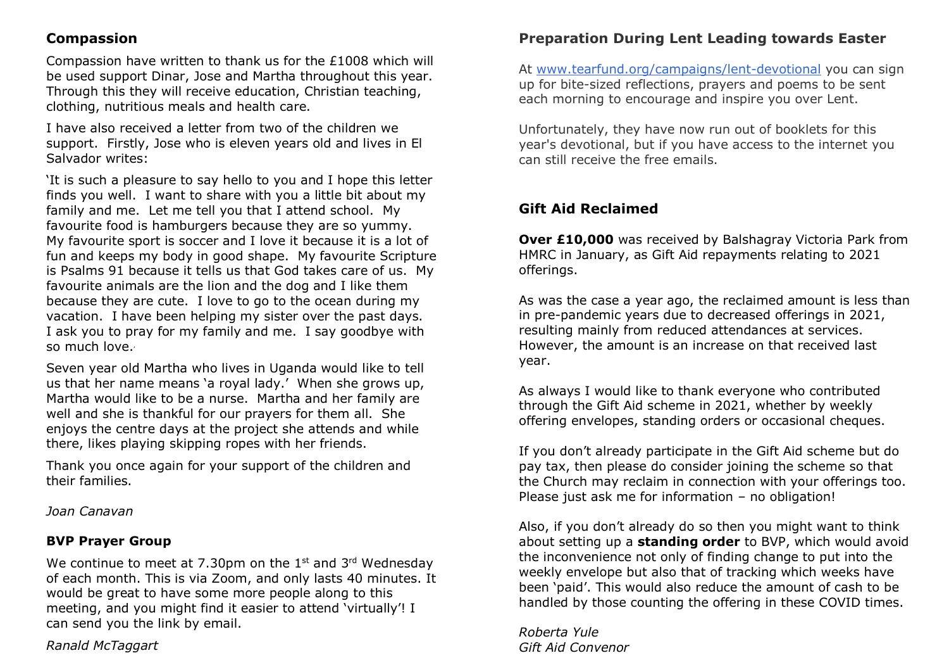#### **Compassion**

Compassion have written to thank us for the £1008 which will be used support Dinar, Jose and Martha throughout this year. Through this they will receive education, Christian teaching, clothing, nutritious meals and health care.

I have also received a letter from two of the children we support. Firstly, Jose who is eleven years old and lives in El Salvador writes:

'It is such a pleasure to say hello to you and I hope this letter finds you well. I want to share with you a little bit about my family and me. Let me tell you that I attend school. My favourite food is hamburgers because they are so yummy. My favourite sport is soccer and I love it because it is a lot of fun and keeps my body in good shape. My favourite Scripture is Psalms 91 because it tells us that God takes care of us. My favourite animals are the lion and the dog and I like them because they are cute. I love to go to the ocean during my vacation. I have been helping my sister over the past days. I ask you to pray for my family and me. I say goodbye with so much love.'

Seven year old Martha who lives in Uganda would like to tell us that her name means 'a royal lady.' When she grows up, Martha would like to be a nurse. Martha and her family are well and she is thankful for our prayers for them all. She enjoys the centre days at the project she attends and while there, likes playing skipping ropes with her friends.

Thank you once again for your support of the children and their families.

*Joan Canavan*

#### **BVP Prayer Group**

We continue to meet at 7.30pm on the  $1<sup>st</sup>$  and  $3<sup>rd</sup>$  Wednesday of each month. This is via Zoom, and only lasts 40 minutes. It would be great to have some more people along to this meeting, and you might find it easier to attend 'virtually'! I can send you the link by email.

#### *Ranald McTaggart*

# **Preparation During Lent Leading towards Easter**

At [www.tearfund.org/campaigns/lent-devotional](http://www.tearfund.org/campaigns/lent-devotional) you can sign up for bite-sized reflections, prayers and poems to be sent each morning to encourage and inspire you over Lent.

Unfortunately, they have now run out of booklets for this year's devotional, but if you have access to the internet you can still receive the free emails.

## **Gift Aid Reclaimed**

**Over £10,000** was received by Balshagray Victoria Park from HMRC in January, as Gift Aid repayments relating to 2021 offerings.

As was the case a year ago, the reclaimed amount is less than in pre-pandemic years due to decreased offerings in 2021, resulting mainly from reduced attendances at services. However, the amount is an increase on that received last year.

As always I would like to thank everyone who contributed through the Gift Aid scheme in 2021, whether by weekly offering envelopes, standing orders or occasional cheques.

If you don't already participate in the Gift Aid scheme but do pay tax, then please do consider joining the scheme so that the Church may reclaim in connection with your offerings too. Please just ask me for information – no obligation!

Also, if you don't already do so then you might want to think about setting up a **standing order** to BVP, which would avoid the inconvenience not only of finding change to put into the weekly envelope but also that of tracking which weeks have been 'paid'. This would also reduce the amount of cash to be handled by those counting the offering in these COVID times.

*Roberta Yule Gift Aid Convenor*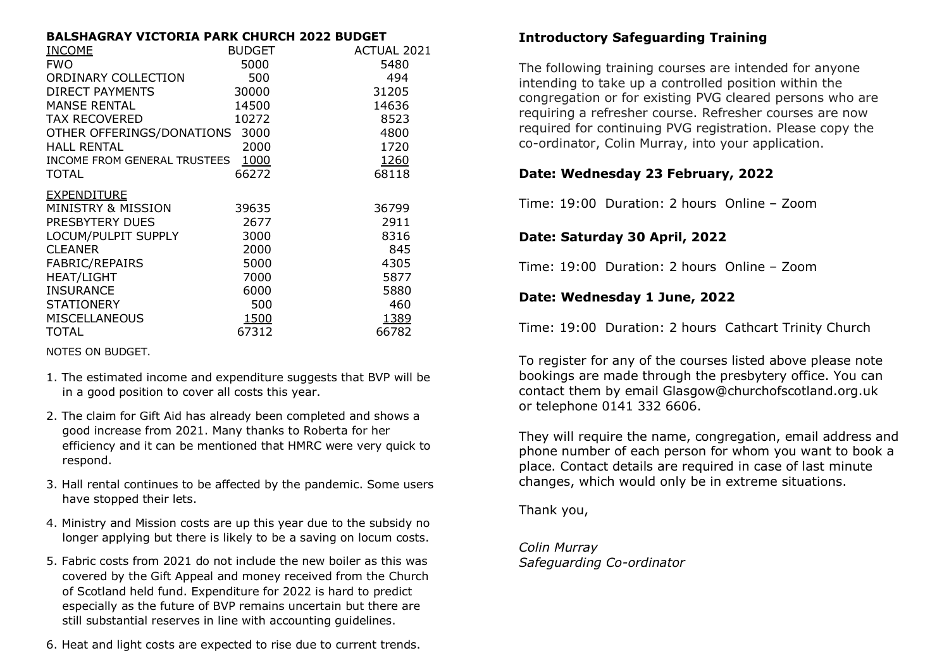#### **BALSHAGRAY VICTORIA PARK CHURCH 2022 BUDGET**

|       | ACTUAL 2021                                                                          |
|-------|--------------------------------------------------------------------------------------|
| 5000  | 5480                                                                                 |
| 500   | 494                                                                                  |
| 30000 | 31205                                                                                |
| 14500 | 14636                                                                                |
| 10272 | 8523                                                                                 |
|       | 4800                                                                                 |
| 2000  | 1720                                                                                 |
|       | <u>1260</u>                                                                          |
| 66272 | 68118                                                                                |
|       |                                                                                      |
| 39635 | 36799                                                                                |
| 2677  | 2911                                                                                 |
| 3000  | 8316                                                                                 |
| 2000  | 845                                                                                  |
| 5000  | 4305                                                                                 |
| 7000  | 5877                                                                                 |
| 6000  | 5880                                                                                 |
| 500   | 460                                                                                  |
| 1500  | 1389                                                                                 |
| 67312 | 66782                                                                                |
|       | <b>BUDGET</b><br>OTHER OFFERINGS/DONATIONS 3000<br>INCOME FROM GENERAL TRUSTEES 1000 |

NOTES ON BUDGET.

- 1. The estimated income and expenditure suggests that BVP will be in a good position to cover all costs this year.
- 2. The claim for Gift Aid has already been completed and shows a good increase from 2021. Many thanks to Roberta for her efficiency and it can be mentioned that HMRC were very quick to respond.
- 3. Hall rental continues to be affected by the pandemic. Some users have stopped their lets.
- 4. Ministry and Mission costs are up this year due to the subsidy no longer applying but there is likely to be a saving on locum costs.
- 5. Fabric costs from 2021 do not include the new boiler as this was covered by the Gift Appeal and money received from the Church of Scotland held fund. Expenditure for 2022 is hard to predict especially as the future of BVP remains uncertain but there are still substantial reserves in line with accounting guidelines.
- 6. Heat and light costs are expected to rise due to current trends.

## **Introductory Safeguarding Training**

The following training courses are intended for anyone intending to take up a controlled position within the congregation or for existing PVG cleared persons who are requiring a refresher course. Refresher courses are now required for continuing PVG registration. Please copy the co-ordinator, Colin Murray, into your application.

#### **Date: Wednesday 23 February, 2022**

Time: 19:00 Duration: 2 hours Online – Zoom

#### **Date: Saturday 30 April, 2022**

Time: 19:00 Duration: 2 hours Online – Zoom

#### **Date: Wednesday 1 June, 2022**

Time: 19:00 Duration: 2 hours Cathcart Trinity Church

To register for any of the courses listed above please note bookings are made through the presbytery office. You can contact them by email Glasgow@churchofscotland.org.uk or telephone 0141 332 6606.

They will require the name, congregation, email address and phone number of each person for whom you want to book a place. Contact details are required in case of last minute changes, which would only be in extreme situations.

Thank you,

*Colin Murray Safeguarding Co-ordinator*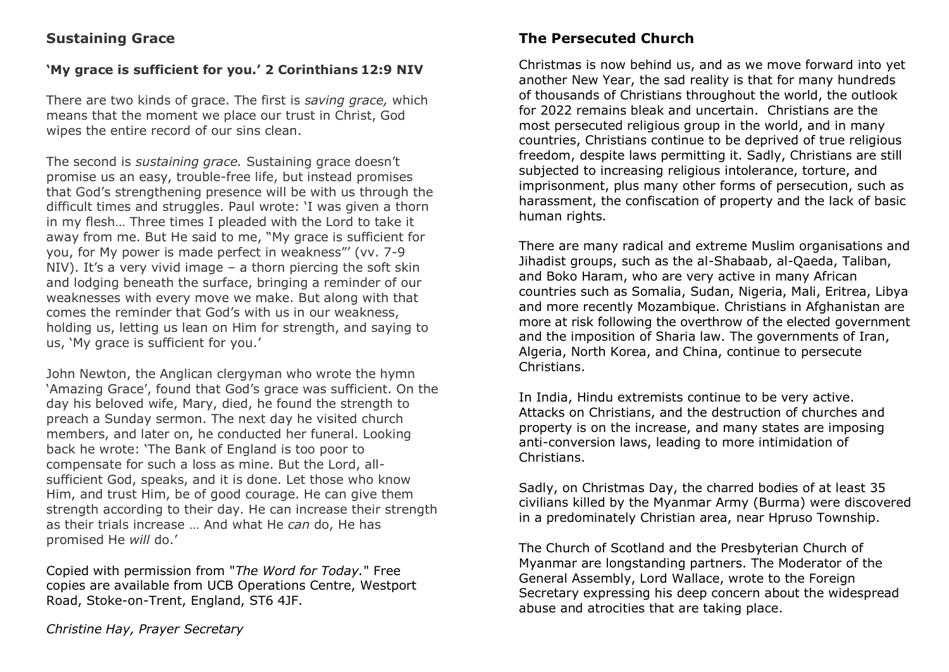#### **Sustaining Grace**

#### **'My grace is sufficient for you.' 2 Corinthians 12:9 NIV**

There are two kinds of grace. The first is *saving grace,* which means that the moment we place our trust in Christ, God wipes the entire record of our sins clean.

The second is *sustaining grace.* Sustaining grace doesn't promise us an easy, trouble-free life, but instead promises that God's strengthening presence will be with us through the difficult times and struggles. Paul wrote: 'I was given a thorn in my flesh… Three times I pleaded with the Lord to take it away from me. But He said to me, "My grace is sufficient for you, for My power is made perfect in weakness"' (vv. 7-9 NIV). It's a very vivid image – a thorn piercing the soft skin and lodging beneath the surface, bringing a reminder of our weaknesses with every move we make. But along with that comes the reminder that God's with us in our weakness, holding us, letting us lean on Him for strength, and saying to us, 'My grace is sufficient for you.'

John Newton, the Anglican clergyman who wrote the hymn 'Amazing Grace', found that God's grace was sufficient. On the day his beloved wife, Mary, died, he found the strength to preach a Sunday sermon. The next day he visited church members, and later on, he conducted her funeral. Looking back he wrote: 'The Bank of England is too poor to compensate for such a loss as mine. But the Lord, allsufficient God, speaks, and it is done. Let those who know Him, and trust Him, be of good courage. He can give them strength according to their day. He can increase their strength as their trials increase … And what He *can* do, He has promised He *will* do.'

Copied with permission from "*The Word for Today.*" Free copies are available from UCB Operations Centre, Westport Road, Stoke-on-Trent, England, ST6 4JF.

## **The Persecuted Church**

Christmas is now behind us, and as we move forward into yet another New Year, the sad reality is that for many hundreds of thousands of Christians throughout the world, the outlook for 2022 remains bleak and uncertain. Christians are the most persecuted religious group in the world, and in many countries, Christians continue to be deprived of true religious freedom, despite laws permitting it. Sadly, Christians are still subjected to increasing religious intolerance, torture, and imprisonment, plus many other forms of persecution, such as harassment, the confiscation of property and the lack of basic human rights.

There are many radical and extreme Muslim organisations and Jihadist groups, such as the al-Shabaab, al-Qaeda, Taliban, and Boko Haram, who are very active in many African countries such as Somalia, Sudan, Nigeria, Mali, Eritrea, Libya and more recently Mozambique. Christians in Afghanistan are more at risk following the overthrow of the elected government and the imposition of Sharia law. The governments of Iran, Algeria, North Korea, and China, continue to persecute Christians.

In India, Hindu extremists continue to be very active. Attacks on Christians, and the destruction of churches and property is on the increase, and many states are imposing anti-conversion laws, leading to more intimidation of Christians.

Sadly, on Christmas Day, the charred bodies of at least 35 civilians killed by the Myanmar Army (Burma) were discovered in a predominately Christian area, near Hpruso Township.

The Church of Scotland and the Presbyterian Church of Myanmar are longstanding partners. The Moderator of the General Assembly, Lord Wallace, wrote to the Foreign Secretary expressing his deep concern about the widespread abuse and atrocities that are taking place.

*Christine Hay, Prayer Secretary*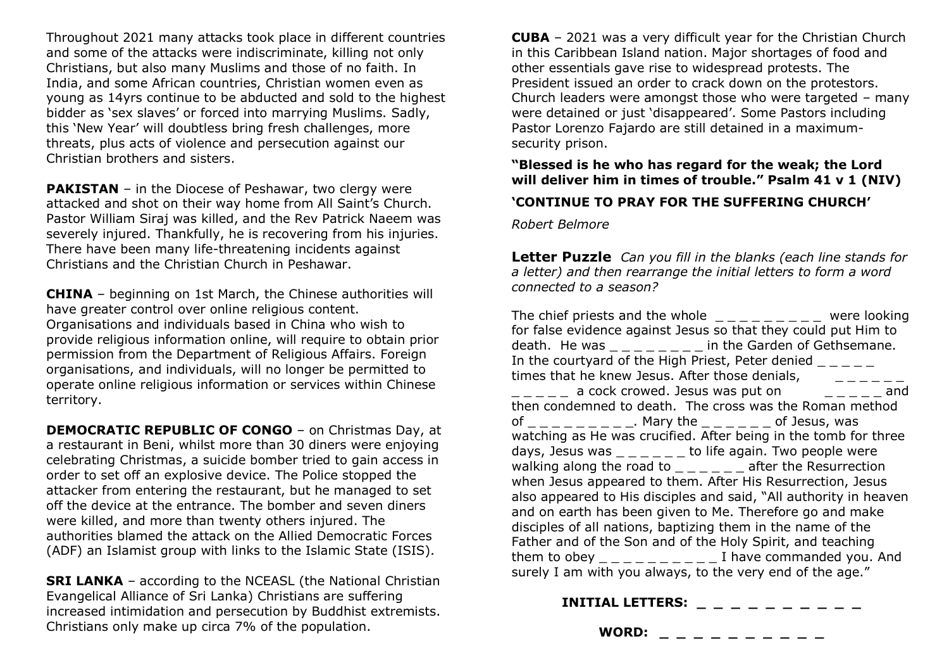Throughout 2021 many attacks took place in different countries and some of the attacks were indiscriminate, killing not only Christians, but also many Muslims and those of no faith. In India, and some African countries, Christian women even as young as 14yrs continue to be abducted and sold to the highest bidder as 'sex slaves' or forced into marrying Muslims. Sadly, this 'New Year' will doubtless bring fresh challenges, more threats, plus acts of violence and persecution against our Christian brothers and sisters.

**PAKISTAN** – in the Diocese of Peshawar, two clergy were attacked and shot on their way home from All Saint's Church. Pastor William Siraj was killed, and the Rev Patrick Naeem was severely injured. Thankfully, he is recovering from his injuries. There have been many life-threatening incidents against Christians and the Christian Church in Peshawar.

**CHINA** – beginning on 1st March, the Chinese authorities will have greater control over online religious content. Organisations and individuals based in China who wish to provide religious information online, will require to obtain prior permission from the Department of Religious Affairs. Foreign organisations, and individuals, will no longer be permitted to operate online religious information or services within Chinese territory.

**DEMOCRATIC REPUBLIC OF CONGO** – on Christmas Day, at a restaurant in Beni, whilst more than 30 diners were enjoying celebrating Christmas, a suicide bomber tried to gain access in order to set off an explosive device. The Police stopped the attacker from entering the restaurant, but he managed to set off the device at the entrance. The bomber and seven diners were killed, and more than twenty others injured. The authorities blamed the attack on the Allied Democratic Forces (ADF) an Islamist group with links to the Islamic State (ISIS).

**SRI LANKA** – according to the NCEASL (the National Christian Evangelical Alliance of Sri Lanka) Christians are suffering increased intimidation and persecution by Buddhist extremists. Christians only make up circa 7% of the population.

**CUBA** – 2021 was a very difficult year for the Christian Church in this Caribbean Island nation. Major shortages of food and other essentials gave rise to widespread protests. The President issued an order to crack down on the protestors. Church leaders were amongst those who were targeted – many were detained or just 'disappeared'. Some Pastors including Pastor Lorenzo Fajardo are still detained in a maximumsecurity prison.

**"Blessed is he who has regard for the weak; the Lord will deliver him in times of trouble." Psalm 41 v 1 (NIV)**

#### **'CONTINUE TO PRAY FOR THE SUFFERING CHURCH'**

*Robert Belmore*

**Letter Puzzle** *Can you fill in the blanks (each line stands for a letter) and then rearrange the initial letters to form a word connected to a season?*

The chief priests and the whole  $\angle$  \_ \_ \_ \_ \_ \_ \_ were looking for false evidence against Jesus so that they could put Him to death. He was \_\_\_\_\_\_\_\_ in the Garden of Gethsemane. In the courtyard of the High Priest, Peter denied times that he knew Jesus. After those denials, a cock crowed. Jesus was put on example and then condemned to death. The cross was the Roman method of the contract of Jesus, was watching as He was crucified. After being in the tomb for three days, Jesus was  $\mu = \mu = \mu - \mu$  to life again. Two people were walking along the road to  $\frac{1}{2}$   $\frac{1}{2}$  after the Resurrection when Jesus appeared to them. After His Resurrection, Jesus also appeared to His disciples and said, "All authority in heaven and on earth has been given to Me. Therefore go and make disciples of all nations, baptizing them in the name of the Father and of the Son and of the Holy Spirit, and teaching them to obey \_ \_ \_ \_ \_ \_ \_ \_ \_ \_ I have commanded you. And surely I am with you always, to the very end of the age."

| <b>INITIAL LETTERS:</b> |  |  |  | _ _ _ _ _ _ |  |  |
|-------------------------|--|--|--|-------------|--|--|
| <b>WORD:</b>            |  |  |  |             |  |  |